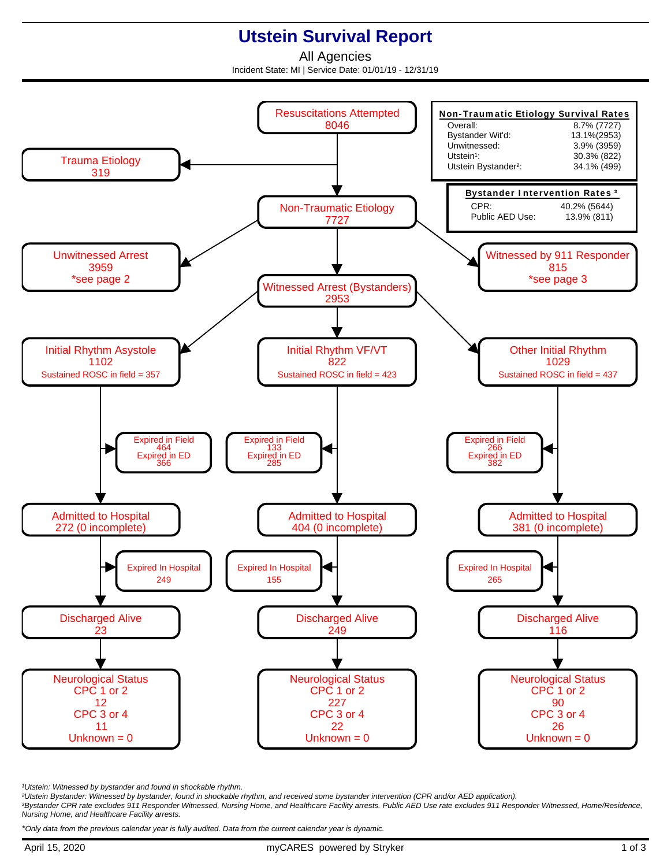## **Utstein Survival Report**

All Agencies Incident State: MI | Service Date: 01/01/19 - 12/31/19



<sup>1</sup>Utstein: Witnessed by bystander and found in shockable rhythm.

²Utstein Bystander: Witnessed by bystander, found in shockable rhythm, and received some bystander intervention (CPR and/or AED application).

³Bystander CPR rate excludes 911 Responder Witnessed, Nursing Home, and Healthcare Facility arrests. Public AED Use rate excludes 911 Responder Witnessed, Home/Residence, Nursing Home, and Healthcare Facility arrests.

\*Only data from the previous calendar year is fully audited. Data from the current calendar year is dynamic.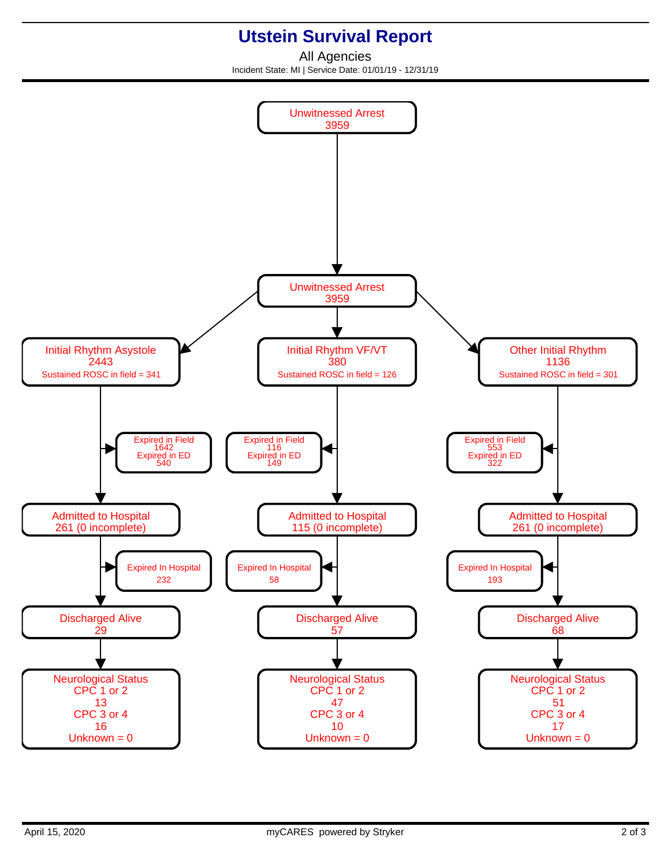## **Utstein Survival Report**

All Agencies Incident State: MI | Service Date: 01/01/19 - 12/31/19